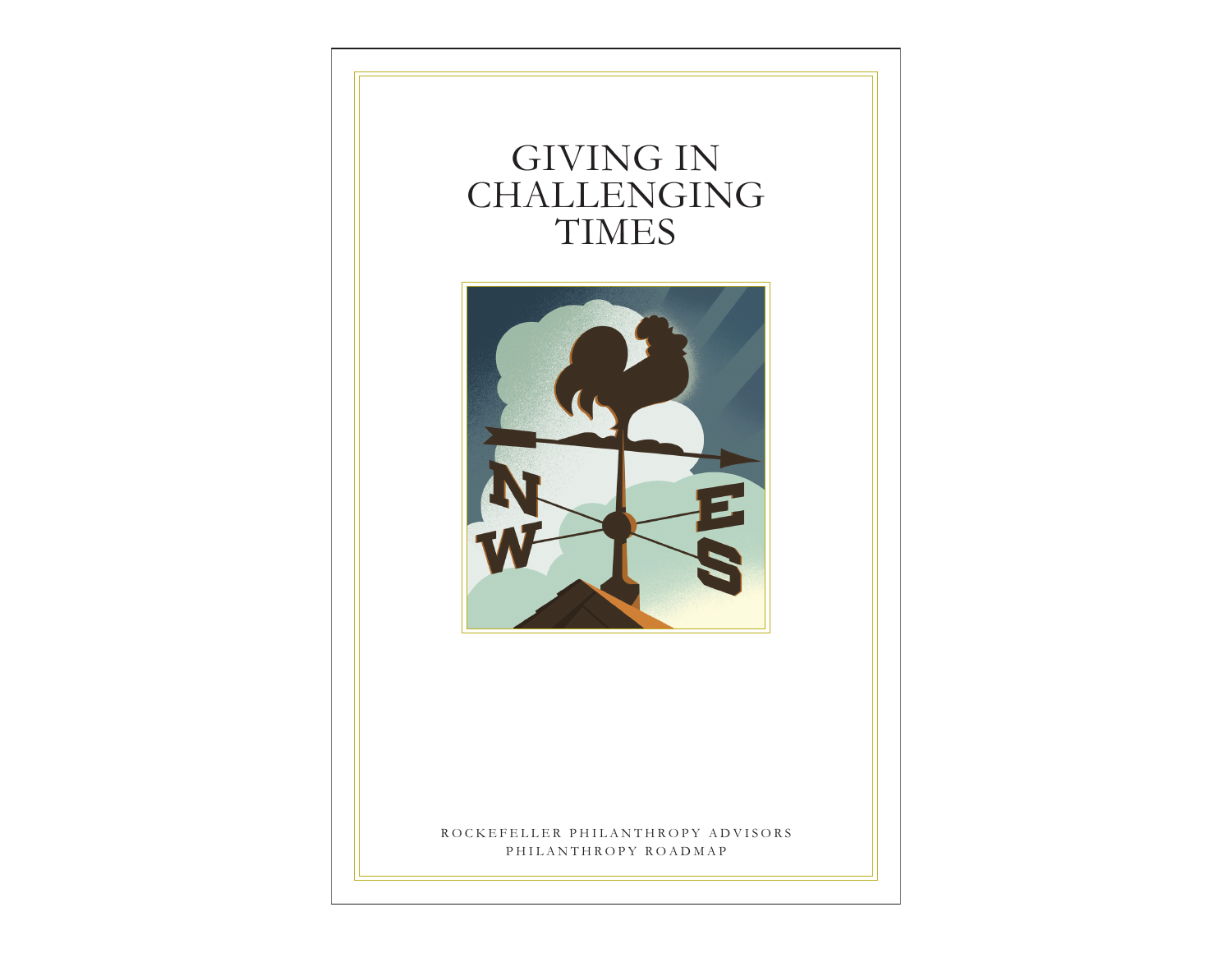# GIVING IN CHALLENGING TIMES



ROCKEFELLER PHILANTHROPY ADVISORS PHILANTHROPY ROADMAP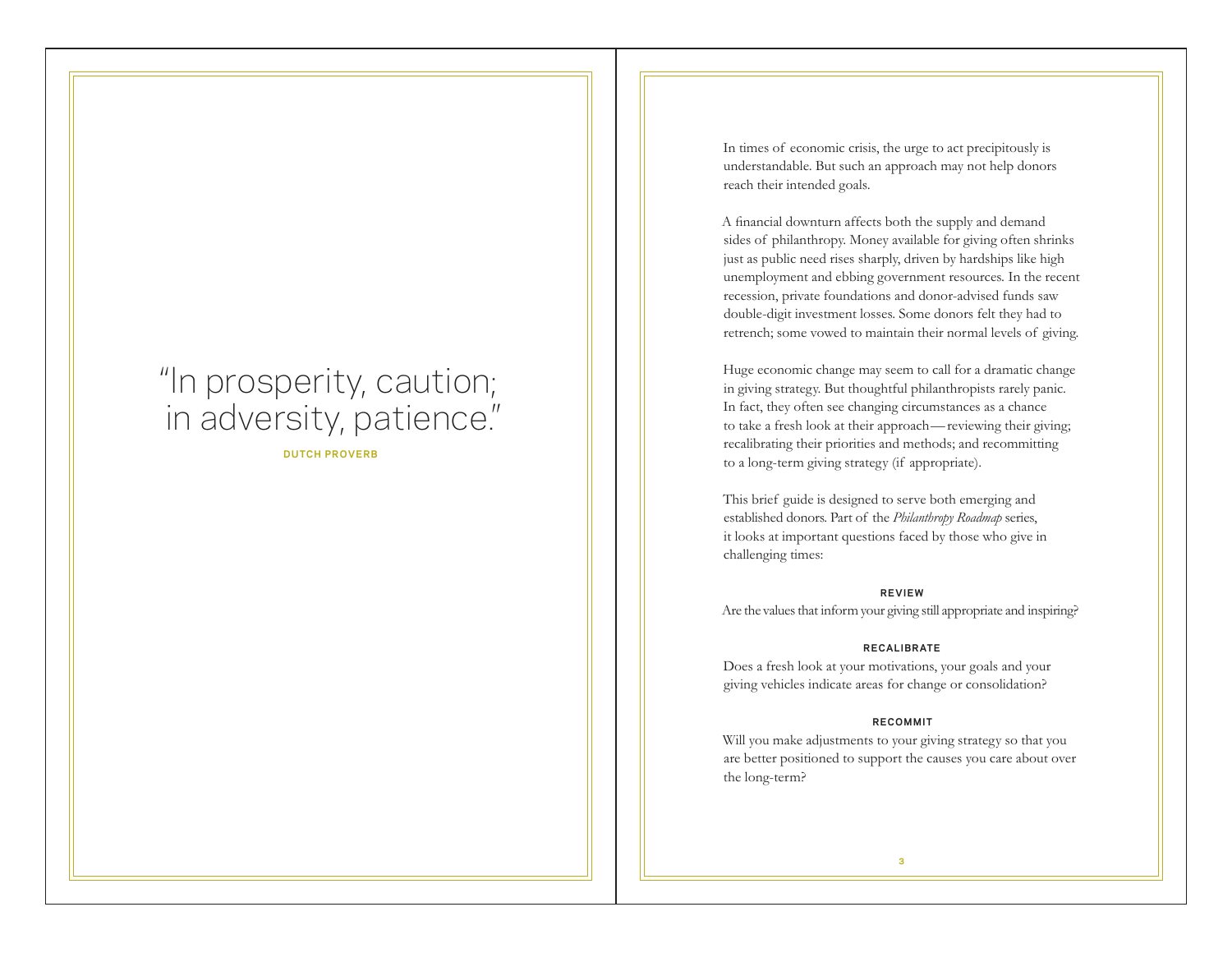# "In prosperity, caution; in adversity, patience"

**DUTCH PROVERB**

In times of economic crisis, the urge to act precipitously is understandable. But such an approach may not help donors reach their intended goals.

A financial downturn affects both the supply and demand sides of philanthropy. Money available for giving often shrinks just as public need rises sharply, driven by hardships like high unemployment and ebbing government resources. In the recent recession, private foundations and donor-advised funds saw double-digit investment losses. Some donors felt they had to retrench; some vowed to maintain their normal levels of giving.

Huge economic change may seem to call for a dramatic change in giving strategy. But thoughtful philanthropists rarely panic. In fact, they often see changing circumstances as a chance to take a fresh look at their approach—reviewing their giving; recalibrating their priorities and methods; and recommitting to a long-term giving strategy (if appropriate).

This brief guide is designed to serve both emerging and established donors. Part of the *Philanthropy Roadmap* series, it looks at important questions faced by those who give in challenging times:

### **REVIEW**

Are the values that inform your giving still appropriate and inspiring?

### **RECAL IBRATE**

Does a fresh look at your motivations, your goals and your giving vehicles indicate areas for change or consolidation?

### **RECOMMIT**

Will you make adjustments to your giving strategy so that you are better positioned to support the causes you care about over the long-term?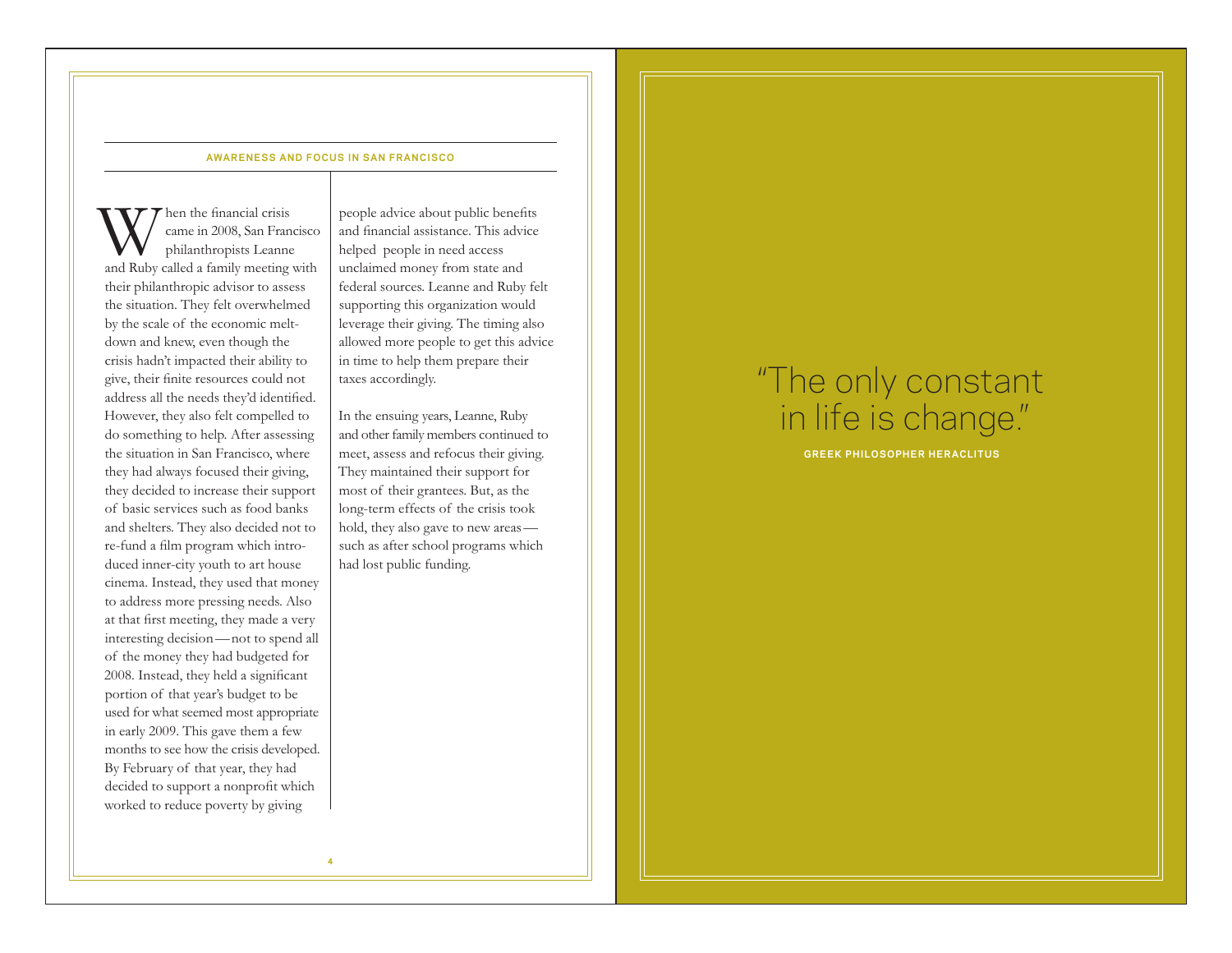# **AWARENESS AND FOCUS IN SAN FRANCISCO**

W hen the financial crisis<br>
philanthropists Leanne<br>
and Ruby called a family meeting with came in 2008, San Francisco philanthropists Leanne their philanthropic advisor to assess the situation. They felt overwhelmed by the scale of the economic meltdown and knew, even though the crisis hadn't impacted their ability to give, their finite resources could not address all the needs they'd identified. However, they also felt compelled to do something to help. After assessing the situation in San Francisco, where they had always focused their giving, they decided to increase their support of basic services such as food banks and shelters. They also decided not to re-fund a film program which introduced inner-city youth to art house cinema. Instead, they used that money to address more pressing needs. Also at that first meeting, they made a very interesting decision—not to spend all of the money they had budgeted for 2008. Instead, they held a significant portion of that year's budget to be used for what seemed most appropriate in early 2009. This gave them a few months to see how the crisis developed. By February of that year, they had decided to support a nonprofit which worked to reduce poverty by giving

people advice about public benefits and financial assistance. This advice helped people in need access unclaimed money from state and federal sources. Leanne and Ruby felt supporting this organization would leverage their giving. The timing also allowed more people to get this advice in time to help them prepare their taxes accordingly.

In the ensuing years, Leanne, Ruby and other family members continued to meet, assess and refocus their giving. They maintained their support for most of their grantees. But, as the long-term effects of the crisis took hold, they also gave to new areas such as after school programs which had lost public funding.

# "The only constant in life is change."

**GREEK PHILOSOPHER HERACLITUS**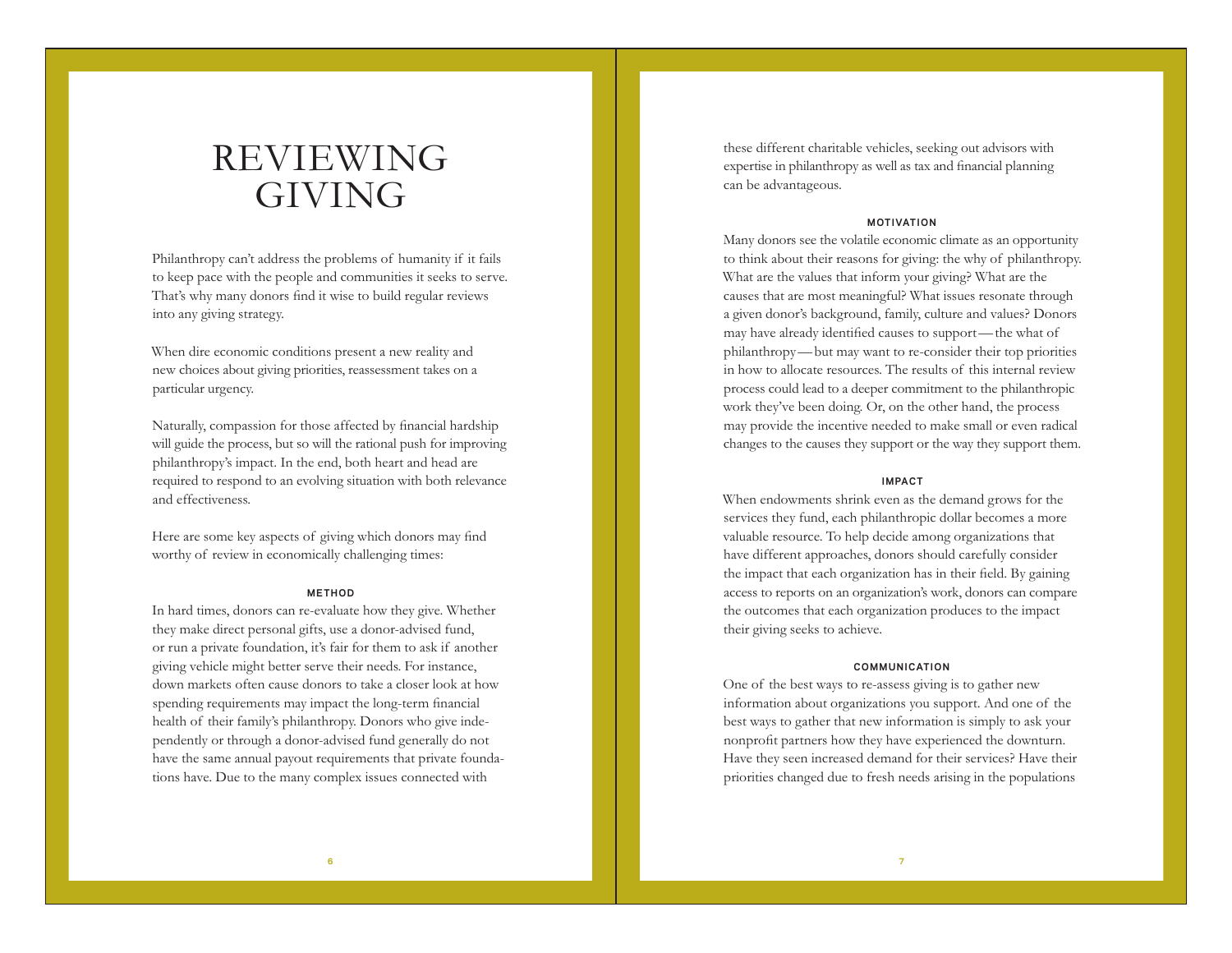# REVIEWING GIVING

Philanthropy can't address the problems of humanity if it fails to keep pace with the people and communities it seeks to serve. That's why many donors find it wise to build regular reviews into any giving strategy.

When dire economic conditions present a new reality and new choices about giving priorities, reassessment takes on a particular urgency.

Naturally, compassion for those affected by financial hardship will guide the process, but so will the rational push for improving philanthropy's impact. In the end, both heart and head are required to respond to an evolving situation with both relevance and effectiveness.

Here are some key aspects of giving which donors may find worthy of review in economically challenging times:

## **METHOD**

In hard times, donors can re-evaluate how they give. Whether they make direct personal gifts, use a donor-advised fund, or run a private foundation, it's fair for them to ask if another giving vehicle might better serve their needs. For instance, down markets often cause donors to take a closer look at how spending requirements may impact the long-term financial health of their family's philanthropy. Donors who give independently or through a donor-advised fund generally do not have the same annual payout requirements that private foundations have. Due to the many complex issues connected with

these different charitable vehicles, seeking out advisors with expertise in philanthropy as well as tax and financial planning can be advantageous.

### **MOTIVATION**

Many donors see the volatile economic climate as an opportunity to think about their reasons for giving: the why of philanthropy. What are the values that inform your giving? What are the causes that are most meaningful? What issues resonate through a given donor's background, family, culture and values? Donors may have already identified causes to support—the what of philanthropy—but may want to re-consider their top priorities in how to allocate resources. The results of this internal review process could lead to a deeper commitment to the philanthropic work they've been doing. Or, on the other hand, the process may provide the incentive needed to make small or even radical changes to the causes they support or the way they support them.

### **IMPACT**

When endowments shrink even as the demand grows for the services they fund, each philanthropic dollar becomes a more valuable resource. To help decide among organizations that have different approaches, donors should carefully consider the impact that each organization has in their field. By gaining access to reports on an organization's work, donors can compare the outcomes that each organization produces to the impact their giving seeks to achieve.

#### **COMMUNICATION**

One of the best ways to re-assess giving is to gather new information about organizations you support. And one of the best ways to gather that new information is simply to ask your nonprofit partners how they have experienced the downturn. Have they seen increased demand for their services? Have their priorities changed due to fresh needs arising in the populations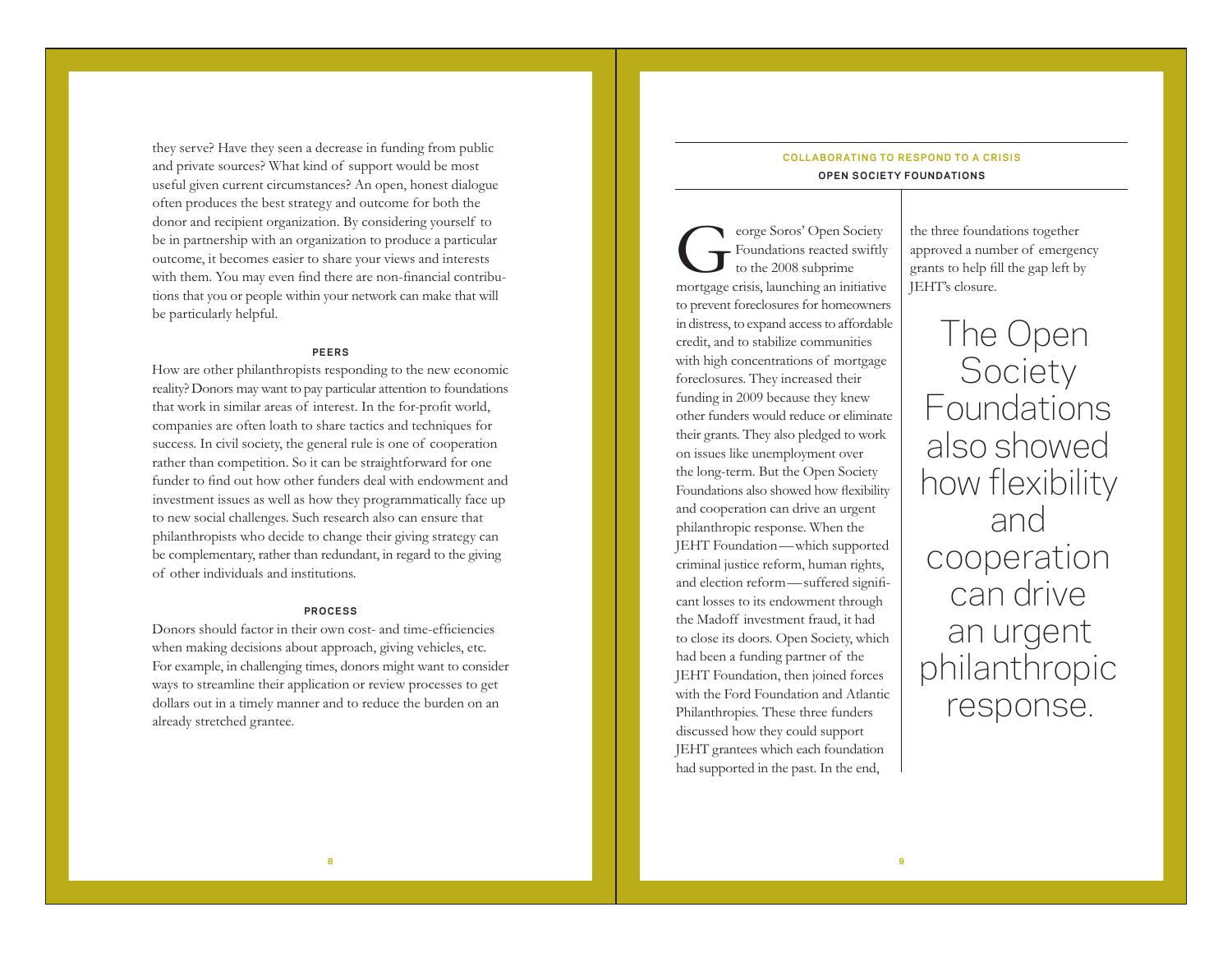they serve? Have they seen a decrease in funding from public and private sources? What kind of support would be most useful given current circumstances? An open, honest dialogue often produces the best strategy and outcome for both the donor and recipient organization. By considering yourself to be in partnership with an organization to produce a particular outcome, it becomes easier to share your views and interests with them. You may even find there are non-financial contributions that you or people within your network can make that will be particularly helpful.

# **PEERS**

How are other philanthropists responding to the new economic reality? Donors may want to pay particular attention to foundations that work in similar areas of interest. In the for-profit world, companies are often loath to share tactics and techniques for success. In civil society, the general rule is one of cooperation rather than competition. So it can be straightforward for one funder to find out how other funders deal with endowment and investment issues as well as how they programmatically face up to new social challenges. Such research also can ensure that philanthropists who decide to change their giving strategy can be complementary, rather than redundant, in regard to the giving of other individuals and institutions.

# **PROCESS**

Donors should factor in their own cost- and time-efficiencies when making decisions about approach, giving vehicles, etc. For example, in challenging times, donors might want to consider ways to streamline their application or review processes to get dollars out in a timely manner and to reduce the burden on an already stretched grantee.

# **COLLABORATING TO RESPOND TO A CRISIS OPEN SOCIETY FOUNDATIONS**

George Soros' Open Society<br>Foundations reacted swiftly<br>mortgage crisis, launching an initiative Foundations reacted swiftly to the 2008 subprime to prevent foreclosures for homeowners in distress, to expand access to affordable credit, and to stabilize communities with high concentrations of mortgage foreclosures. They increased their funding in 2009 because they knew other funders would reduce or eliminate their grants. They also pledged to work on issues like unemployment over the long-term. But the Open Society Foundations also showed how flexibility and cooperation can drive an urgent philanthropic response. When the JEHT Foundation—which supported criminal justice reform, human rights, and election reform—suffered significant losses to its endowment through the Madoff investment fraud, it had to close its doors. Open Society, which had been a funding partner of the JEHT Foundation, then joined forces with the Ford Foundation and Atlantic Philanthropies. These three funders discussed how they could support JEHT grantees which each foundation had supported in the past. In the end,

the three foundations together approved a number of emergency grants to help fill the gap left by JEHT's closure.

The Open **Society** Foundations also showed how flexibility and cooperation can drive an urgent philanthropic response.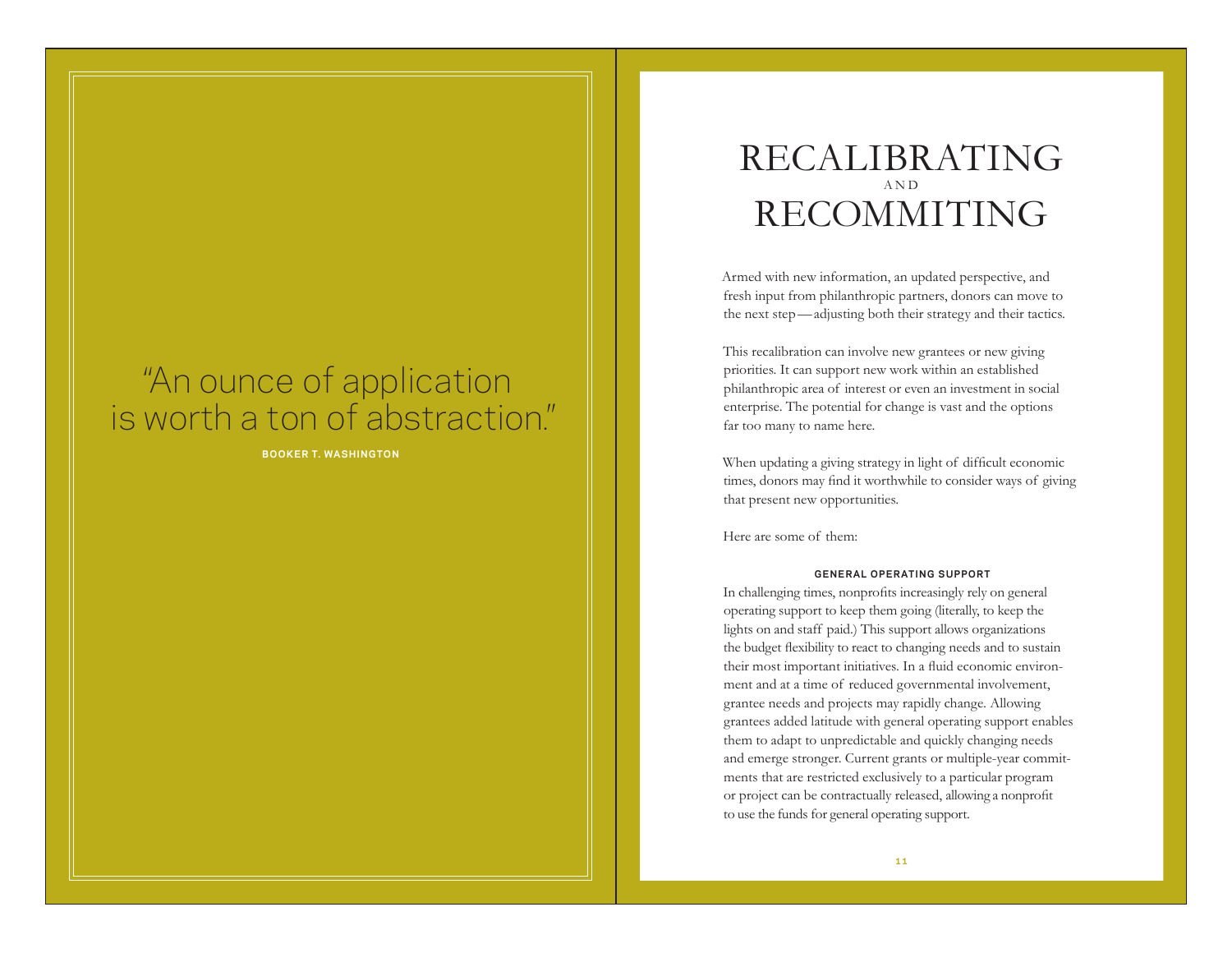# "An ounce of application is worth a ton of abstraction."

**BOOKER T. WASHINGTON**

# RECALIBRATING A N D RECOMMITING

Armed with new information, an updated perspective, and fresh input from philanthropic partners, donors can move to the next step—adjusting both their strategy and their tactics.

This recalibration can involve new grantees or new giving priorities. It can support new work within an established philanthropic area of interest or even an investment in social enterprise. The potential for change is vast and the options far too many to name here.

When updating a giving strategy in light of difficult economic times, donors may find it worthwhile to consider ways of giving that present new opportunities.

Here are some of them:

# **GENERAL OPERATING SUPPORT**

In challenging times, nonprofits increasingly rely on general operating support to keep them going (literally, to keep the lights on and staff paid.) This support allows organizations the budget flexibility to react to changing needs and to sustain their most important initiatives. In a fluid economic environment and at a time of reduced governmental involvement, grantee needs and projects may rapidly change. Allowing grantees added latitude with general operating support enables them to adapt to unpredictable and quickly changing needs and emerge stronger. Current grants or multiple-year commitments that are restricted exclusively to a particular program or project can be contractually released, allowing a nonprofit to use the funds for general operating support.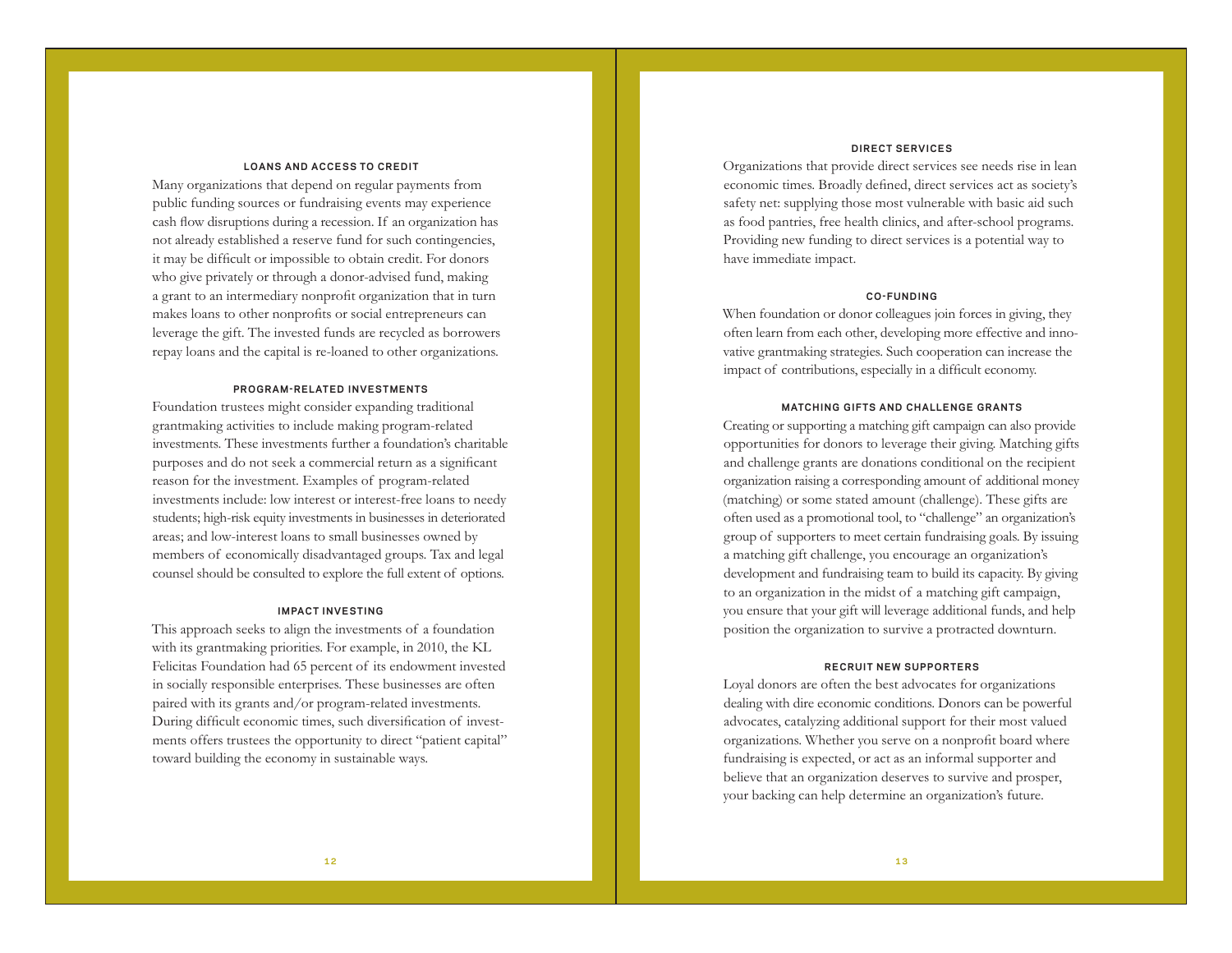# **LOANS AND ACCESS TO CREDIT**

Many organizations that depend on regular payments from public funding sources or fundraising events may experience cash flow disruptions during a recession. If an organization has not already established a reserve fund for such contingencies, it may be difficult or impossible to obtain credit. For donors who give privately or through a donor-advised fund, making a grant to an intermediary nonprofit organization that in turn makes loans to other nonprofits or social entrepreneurs can leverage the gift. The invested funds are recycled as borrowers repay loans and the capital is re-loaned to other organizations.

# **PROGRAM-RELATED INVESTMENTS**

Foundation trustees might consider expanding traditional grantmaking activities to include making program-related investments. These investments further a foundation's charitable purposes and do not seek a commercial return as a significant reason for the investment. Examples of program-related investments include: low interest or interest-free loans to needy students; high-risk equity investments in businesses in deteriorated areas; and low-interest loans to small businesses owned by members of economically disadvantaged groups. Tax and legal counsel should be consulted to explore the full extent of options.

## **IMPACT INVESTING**

This approach seeks to align the investments of a foundation with its grantmaking priorities. For example, in 2010, the KL Felicitas Foundation had 65 percent of its endowment invested in socially responsible enterprises. These businesses are often paired with its grants and/or program-related investments. During difficult economic times, such diversification of investments offers trustees the opportunity to direct "patient capital" toward building the economy in sustainable ways.

# **DIRECT SERVICES**

Organizations that provide direct services see needs rise in lean economic times. Broadly defined, direct services act as society's safety net: supplying those most vulnerable with basic aid such as food pantries, free health clinics, and after-school programs. Providing new funding to direct services is a potential way to have immediate impact.

## **CO-FUNDING**

When foundation or donor colleagues join forces in giving, they often learn from each other, developing more effective and innovative grantmaking strategies. Such cooperation can increase the impact of contributions, especially in a difficult economy.

# **MATCHING GIFTS AND CHALLENGE GRANTS**

Creating or supporting a matching gift campaign can also provide opportunities for donors to leverage their giving. Matching gifts and challenge grants are donations conditional on the recipient organization raising a corresponding amount of additional money (matching) or some stated amount (challenge). These gifts are often used as a promotional tool, to "challenge" an organization's group of supporters to meet certain fundraising goals. By issuing a matching gift challenge, you encourage an organization's development and fundraising team to build its capacity. By giving to an organization in the midst of a matching gift campaign, you ensure that your gift will leverage additional funds, and help position the organization to survive a protracted downturn.

### **RECRUIT NEW SUPPORTERS**

Loyal donors are often the best advocates for organizations dealing with dire economic conditions. Donors can be powerful advocates, catalyzing additional support for their most valued organizations. Whether you serve on a nonprofit board where fundraising is expected, or act as an informal supporter and believe that an organization deserves to survive and prosper, your backing can help determine an organization's future.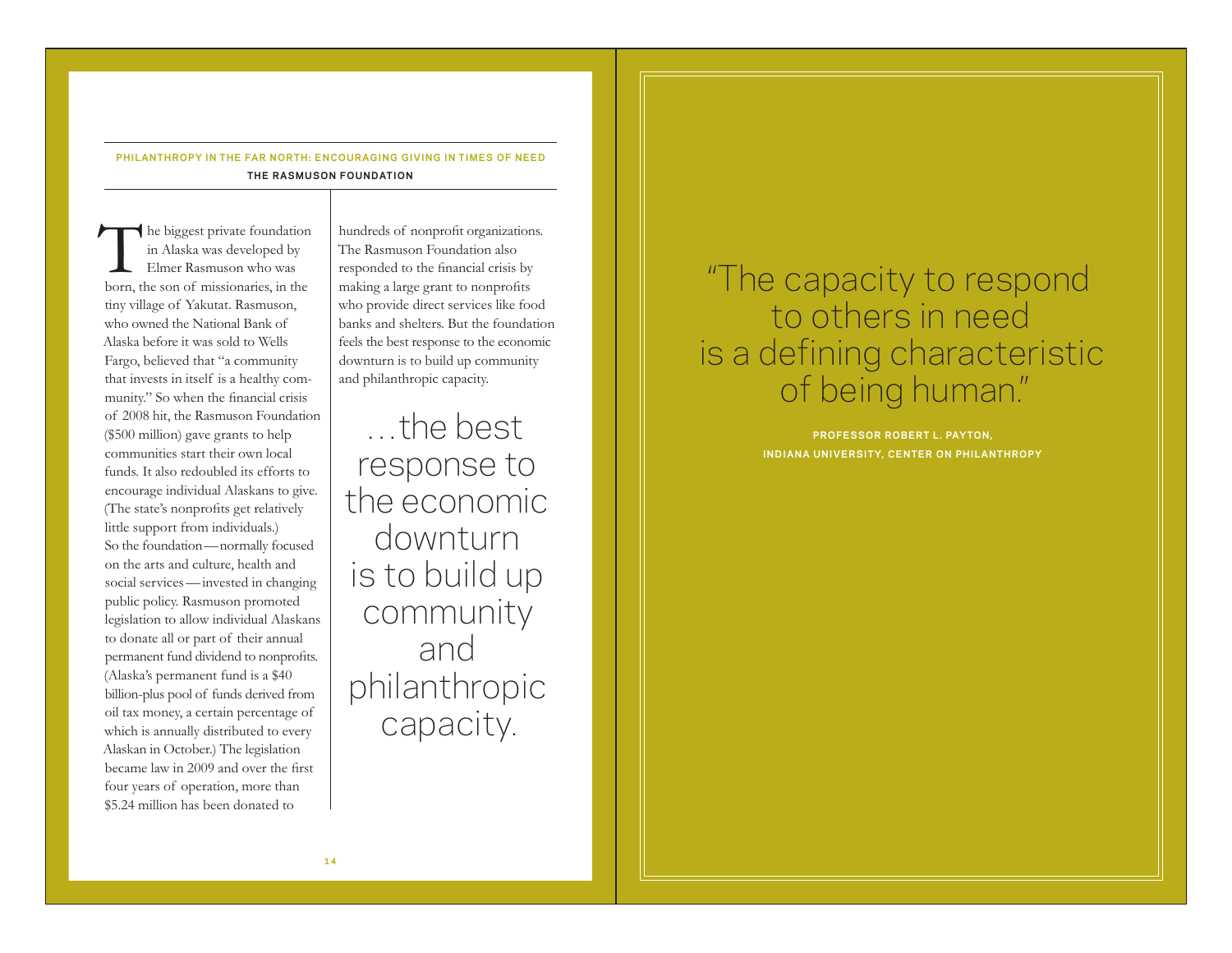# **PHILANTHROPY IN THE FAR NORTH: ENCOURAGING GIVING IN TIMES OF NEED THE RASMUSON FOUNDATION**

The biggest private foundation<br>
in Alaska was developed by<br>
Elmer Rasmuson who was<br>
born, the son of missionaries, in the in Alaska was developed by Elmer Rasmuson who was tiny village of Yakutat. Rasmuson, who owned the National Bank of Alaska before it was sold to Wells Fargo, believed that "a community that invests in itself is a healthy community." So when the financial crisis of 2008 hit, the Rasmuson Foundation (\$500 million) gave grants to help communities start their own local funds. It also redoubled its efforts to encourage individual Alaskans to give. (The state's nonprofits get relatively little support from individuals.) So the foundation—normally focused on the arts and culture, health and social services—invested in changing public policy. Rasmuson promoted legislation to allow individual Alaskans to donate all or part of their annual permanent fund dividend to nonprofits. (Alaska's permanent fund is a \$40 billion-plus pool of funds derived from oil tax money, a certain percentage of which is annually distributed to every Alaskan in October.) The legislation became law in 2009 and over the first four years of operation, more than \$5.24 million has been donated to

hundreds of nonprofit organizations. The Rasmuson Foundation also responded to the financial crisis by making a large grant to nonprofits who provide direct services like food banks and shelters. But the foundation feels the best response to the economic downturn is to build up community and philanthropic capacity.

…the best response to the economic downturn is to build up community and philanthropic capacity.

# "The capacity to respond to others in need is a defining characteristic of being human."

**PROFESSOR ROBERT L . PAYTON, INDIANA UNIVERSITY, CENTER ON PHILANTHROPY**